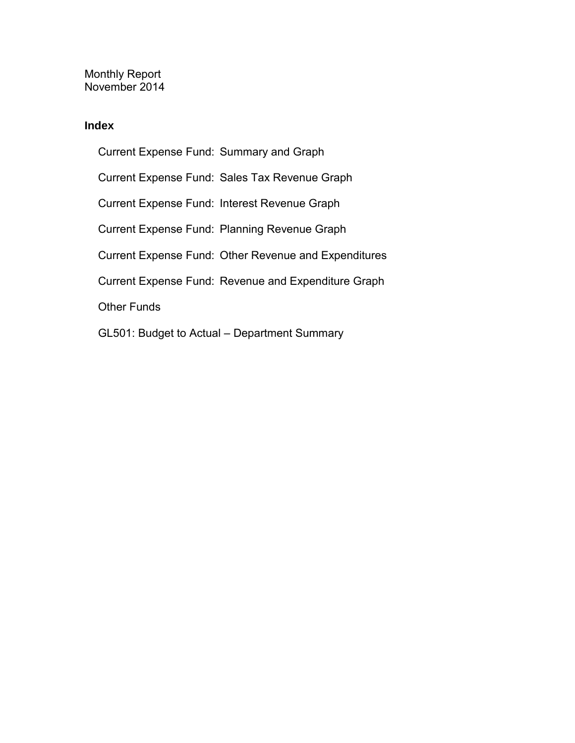Monthly Report November 2014

#### **Index**

Current Expense Fund: Summary and Graph Current Expense Fund: Sales Tax Revenue Graph Current Expense Fund: Interest Revenue Graph Current Expense Fund: Planning Revenue Graph Current Expense Fund: Other Revenue and Expenditures Current Expense Fund: Revenue and Expenditure Graph Other Funds GL501: Budget to Actual – Department Summary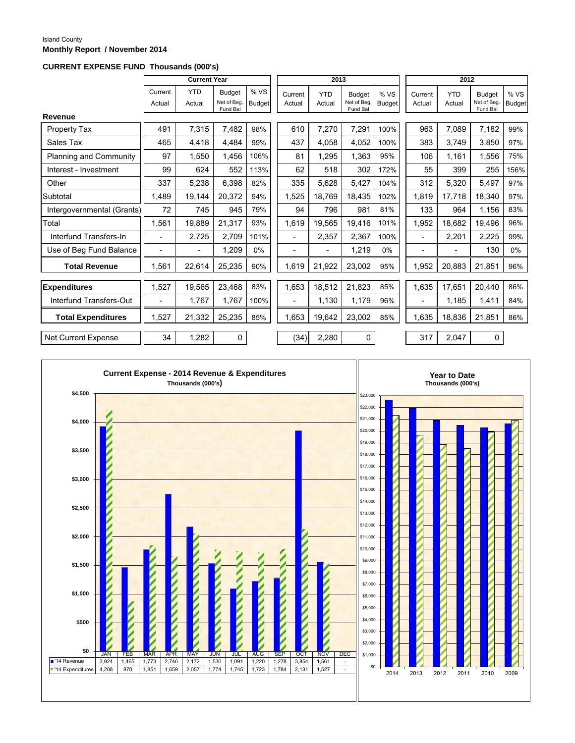#### Island County **Monthly Report / November 2014**

#### **CURRENT EXPENSE FUND Thousands (000's)**

|                               |                          | <b>Current Year</b>  |                                          |                       |                          | 2013                 |                                          |                       | 2012              |                      |                                         |                       |
|-------------------------------|--------------------------|----------------------|------------------------------------------|-----------------------|--------------------------|----------------------|------------------------------------------|-----------------------|-------------------|----------------------|-----------------------------------------|-----------------------|
|                               | Current<br>Actual        | <b>YTD</b><br>Actual | <b>Budget</b><br>Net of Beg.<br>Fund Bal | % VS<br><b>Budget</b> | Current<br>Actual        | <b>YTD</b><br>Actual | <b>Budget</b><br>Net of Beg.<br>Fund Bal | % VS<br><b>Budget</b> | Current<br>Actual | <b>YTD</b><br>Actual | <b>Budget</b><br>Net of Beg<br>Fund Bal | % VS<br><b>Budget</b> |
| Revenue                       |                          |                      |                                          |                       |                          |                      |                                          |                       |                   |                      |                                         |                       |
| Property Tax                  | 491                      | 7,315                | 7,482                                    | 98%                   | 610                      | 7,270                | 7,291                                    | 100%                  | 963               | 7,089                | 7,182                                   | 99%                   |
| Sales Tax                     | 465                      | 4.418                | 4,484                                    | 99%                   | 437                      | 4.058                | 4,052                                    | 100%                  | 383               | 3.749                | 3.850                                   | 97%                   |
| <b>Planning and Community</b> | 97                       | 1.550                | 1,456                                    | 106%                  | 81                       | 1,295                | 1,363                                    | 95%                   | 106               | 1,161                | 1,556                                   | 75%                   |
| Interest - Investment         | 99                       | 624                  | 552                                      | 113%                  | 62                       | 518                  | 302                                      | 172%                  | 55                | 399                  | 255                                     | 156%                  |
| Other                         | 337                      | 5,238                | 6,398                                    | 82%                   | 335                      | 5,628                | 5,427                                    | 104%                  | 312               | 5,320                | 5,497                                   | 97%                   |
| Subtotal                      | 1,489                    | 19,144               | 20,372                                   | 94%                   | 1,525                    | 18,769               | 18,435                                   | 102%                  | 1,819             | 17,718               | 18,340                                  | 97%                   |
| Intergovernmental (Grants)    | 72                       | 745                  | 945                                      | 79%                   | 94                       | 796                  | 981                                      | 81%                   | 133               | 964                  | 1,156                                   | 83%                   |
| Total                         | 1,561                    | 19,889               | 21,317                                   | 93%                   | 1,619                    | 19,565               | 19,416                                   | 101%                  | 1,952             | 18,682               | 19,496                                  | 96%                   |
| Interfund Transfers-In        | $\overline{\phantom{0}}$ | 2,725                | 2,709                                    | 101%                  |                          | 2,357                | 2,367                                    | 100%                  | $\blacksquare$    | 2,201                | 2,225                                   | 99%                   |
| Use of Beg Fund Balance       | ۰                        | $\blacksquare$       | 1,209                                    | $0\%$                 |                          |                      | 1,219                                    | 0%                    | ۰                 |                      | 130                                     | $0\%$                 |
| <b>Total Revenue</b>          | 1.561                    | 22,614               | 25,235                                   | 90%                   | 1,619                    | 21,922               | 23,002                                   | 95%                   | 1,952             | 20,883               | 21,851                                  | 96%                   |
| <b>Expenditures</b>           | 1,527                    | 19,565               | 23,468                                   | 83%                   | 1,653                    | 18,512               | 21,823                                   | 85%                   | 1,635             | 17,651               | 20,440                                  | 86%                   |
| Interfund Transfers-Out       | $\overline{\phantom{a}}$ | 1,767                | 1,767                                    | 100%                  | $\overline{\phantom{a}}$ | 1,130                | 1,179                                    | 96%                   | $\overline{a}$    | 1,185                | 1,411                                   | 84%                   |
| <b>Total Expenditures</b>     | 1.527                    | 21,332               | 25,235                                   | 85%                   | 1.653                    | 19,642               | 23,002                                   | 85%                   | 1,635             | 18,836               | 21,851                                  | 86%                   |
| Net Current Expense           | 34                       | 1,282                | 0                                        |                       | (34)                     | 2,280                | $\mathbf 0$                              |                       | 317               | 2,047                | $\mathbf 0$                             |                       |

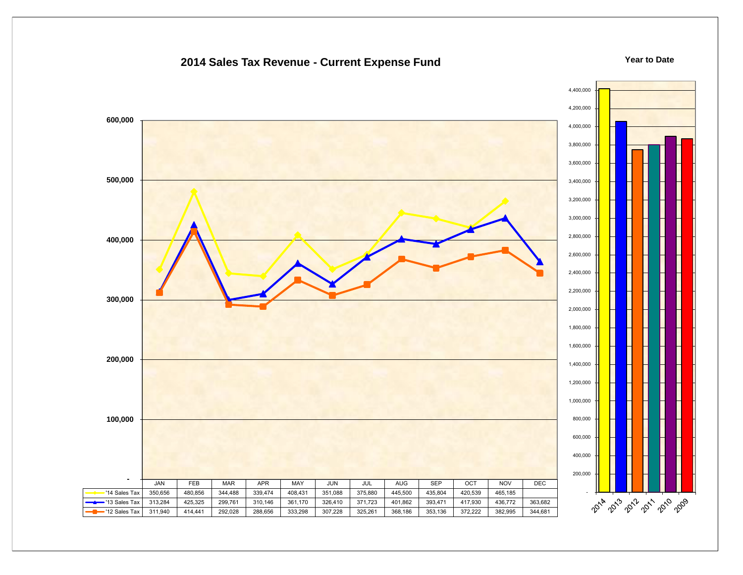#### **2014 Sales Tax Revenue - Current Expense Fund**

**Year to Date**

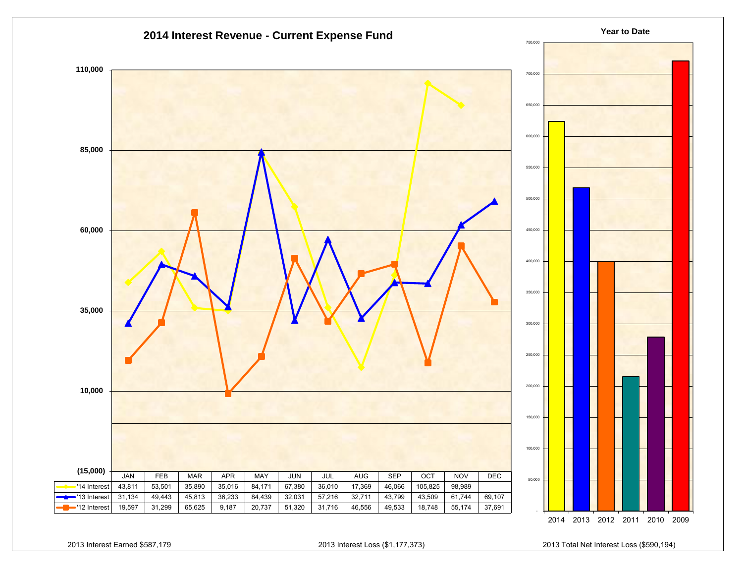

2013 Interest Earned \$587,179 2013 Interest Loss (\$1,177,373) 2013 Total Net Interest Loss (\$590,194)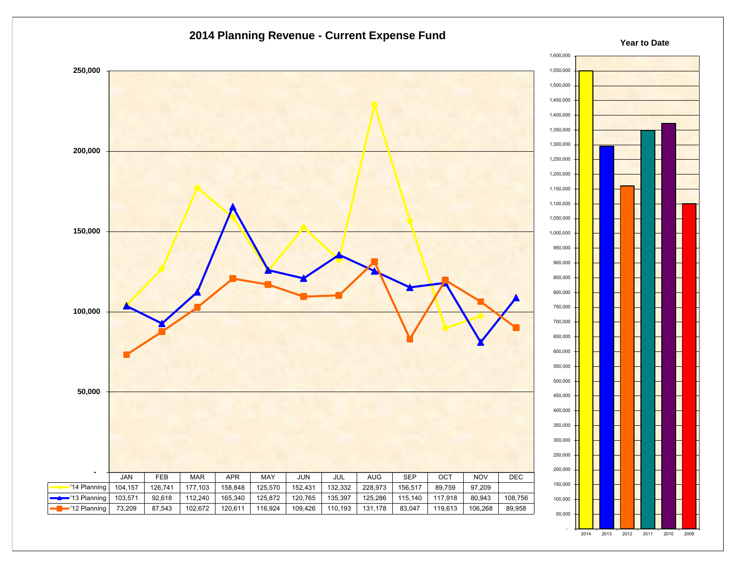



#### **Year to Date**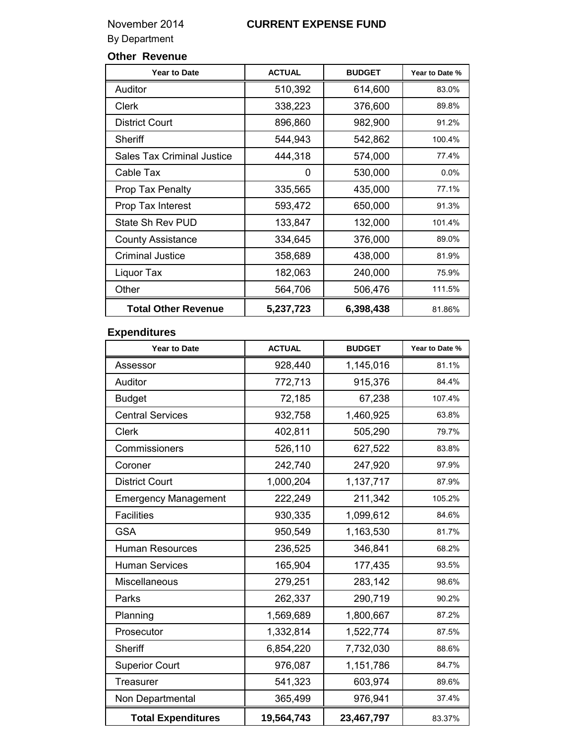### November 2014 **CURRENT EXPENSE FUND**

By Department

### **Other Revenue**

| <b>Year to Date</b>               | <b>ACTUAL</b> | <b>BUDGET</b> | Year to Date % |
|-----------------------------------|---------------|---------------|----------------|
| Auditor                           | 510,392       | 614,600       | 83.0%          |
| Clerk                             | 338,223       | 376,600       | 89.8%          |
| <b>District Court</b>             | 896,860       | 982,900       | 91.2%          |
| Sheriff                           | 544,943       | 542,862       | 100.4%         |
| <b>Sales Tax Criminal Justice</b> | 444,318       | 574,000       | 77.4%          |
| Cable Tax                         | 0             | 530,000       | $0.0\%$        |
| Prop Tax Penalty                  | 335,565       | 435,000       | 77.1%          |
| Prop Tax Interest                 | 593,472       | 650,000       | 91.3%          |
| State Sh Rev PUD                  | 133,847       | 132,000       | 101.4%         |
| <b>County Assistance</b>          | 334,645       | 376,000       | 89.0%          |
| <b>Criminal Justice</b>           | 358,689       | 438,000       | 81.9%          |
| Liquor Tax                        | 182,063       | 240,000       | 75.9%          |
| Other                             | 564,706       | 506,476       | 111.5%         |
| <b>Total Other Revenue</b>        | 5,237,723     | 6,398,438     | 81.86%         |

### **Expenditures**

| <b>Year to Date</b>         | <b>ACTUAL</b> | <b>BUDGET</b> | Year to Date % |
|-----------------------------|---------------|---------------|----------------|
| Assessor                    | 928,440       | 1,145,016     | 81.1%          |
| Auditor                     | 772,713       | 915,376       | 84.4%          |
| <b>Budget</b>               | 72,185        | 67,238        | 107.4%         |
| <b>Central Services</b>     | 932,758       | 1,460,925     | 63.8%          |
| <b>Clerk</b>                | 402,811       | 505,290       | 79.7%          |
| Commissioners               | 526,110       | 627,522       | 83.8%          |
| Coroner                     | 242,740       | 247,920       | 97.9%          |
| <b>District Court</b>       | 1,000,204     | 1,137,717     | 87.9%          |
| <b>Emergency Management</b> | 222,249       | 211,342       | 105.2%         |
| <b>Facilities</b>           | 930,335       | 1,099,612     | 84.6%          |
| <b>GSA</b>                  | 950,549       | 1,163,530     | 81.7%          |
| <b>Human Resources</b>      | 236,525       | 346,841       | 68.2%          |
| <b>Human Services</b>       | 165,904       | 177,435       | 93.5%          |
| Miscellaneous               | 279,251       | 283,142       | 98.6%          |
| Parks                       | 262,337       | 290,719       | 90.2%          |
| Planning                    | 1,569,689     | 1,800,667     | 87.2%          |
| Prosecutor                  | 1,332,814     | 1,522,774     | 87.5%          |
| Sheriff                     | 6,854,220     | 7,732,030     | 88.6%          |
| <b>Superior Court</b>       | 976,087       | 1,151,786     | 84.7%          |
| Treasurer                   | 541,323       | 603,974       | 89.6%          |
| Non Departmental            | 365,499       | 976,941       | 37.4%          |
| <b>Total Expenditures</b>   | 19,564,743    | 23,467,797    | 83.37%         |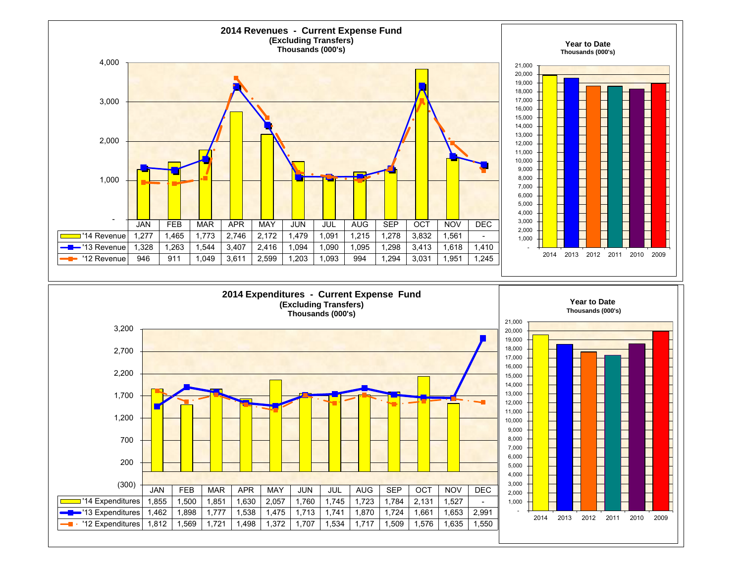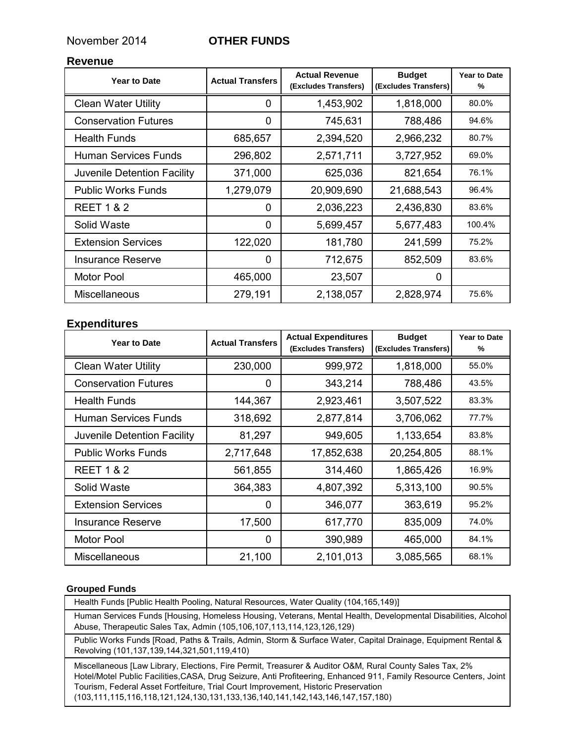#### November 2014 **OTHER FUNDS**

#### **Revenue**

| <b>Year to Date</b>         | <b>Actual Transfers</b> | <b>Actual Revenue</b><br>(Excludes Transfers) | <b>Budget</b><br>(Excludes Transfers) | <b>Year to Date</b><br>% |
|-----------------------------|-------------------------|-----------------------------------------------|---------------------------------------|--------------------------|
| <b>Clean Water Utility</b>  | 0                       | 1,453,902                                     | 1,818,000                             | 80.0%                    |
| <b>Conservation Futures</b> | 0                       | 745,631                                       | 788,486                               | 94.6%                    |
| <b>Health Funds</b>         | 685,657                 | 2,394,520                                     | 2,966,232                             | 80.7%                    |
| <b>Human Services Funds</b> | 296,802                 | 2,571,711                                     | 3,727,952                             | 69.0%                    |
| Juvenile Detention Facility | 371,000                 | 625,036                                       | 821,654                               | 76.1%                    |
| <b>Public Works Funds</b>   | 1,279,079               | 20,909,690                                    | 21,688,543                            | 96.4%                    |
| <b>REET 1 &amp; 2</b>       | 0                       | 2,036,223                                     | 2,436,830                             | 83.6%                    |
| Solid Waste                 | 0                       | 5,699,457                                     | 5,677,483                             | 100.4%                   |
| <b>Extension Services</b>   | 122,020                 | 181,780                                       | 241,599                               | 75.2%                    |
| <b>Insurance Reserve</b>    | 0                       | 712,675                                       | 852,509                               | 83.6%                    |
| Motor Pool                  | 465,000                 | 23,507                                        | $\Omega$                              |                          |
| <b>Miscellaneous</b>        | 279,191                 | 2,138,057                                     | 2,828,974                             | 75.6%                    |

#### **Expenditures**

| <b>Year to Date</b>         | <b>Actual Transfers</b> | <b>Actual Expenditures</b><br>(Excludes Transfers) | <b>Budget</b><br>(Excludes Transfers) | <b>Year to Date</b><br>% |
|-----------------------------|-------------------------|----------------------------------------------------|---------------------------------------|--------------------------|
| <b>Clean Water Utility</b>  | 230,000                 | 999,972                                            | 1,818,000                             | 55.0%                    |
| <b>Conservation Futures</b> | 0                       | 343,214                                            | 788,486                               | 43.5%                    |
| <b>Health Funds</b>         | 144,367                 | 2,923,461                                          | 3,507,522                             | 83.3%                    |
| Human Services Funds        | 318,692                 | 2,877,814                                          | 3,706,062                             | 77.7%                    |
| Juvenile Detention Facility | 81,297                  | 949,605                                            | 1,133,654                             | 83.8%                    |
| <b>Public Works Funds</b>   | 2,717,648               | 17,852,638                                         | 20,254,805                            | 88.1%                    |
| <b>REET 1 &amp; 2</b>       | 561,855                 | 314,460                                            | 1,865,426                             | 16.9%                    |
| Solid Waste                 | 364,383                 | 4,807,392                                          | 5,313,100                             | 90.5%                    |
| <b>Extension Services</b>   | 0                       | 346,077                                            | 363,619                               | 95.2%                    |
| <b>Insurance Reserve</b>    | 17,500                  | 617,770                                            | 835,009                               | 74.0%                    |
| Motor Pool                  | 0                       | 390,989                                            | 465,000                               | 84.1%                    |
| <b>Miscellaneous</b>        | 21,100                  | 2,101,013                                          | 3,085,565                             | 68.1%                    |

#### **Grouped Funds**

Health Funds [Public Health Pooling, Natural Resources, Water Quality (104,165,149)]

Human Services Funds [Housing, Homeless Housing, Veterans, Mental Health, Developmental Disabilities, Alcohol Abuse, Therapeutic Sales Tax, Admin (105,106,107,113,114,123,126,129)

Public Works Funds [Road, Paths & Trails, Admin, Storm & Surface Water, Capital Drainage, Equipment Rental & Revolving (101,137,139,144,321,501,119,410)

Miscellaneous [Law Library, Elections, Fire Permit, Treasurer & Auditor O&M, Rural County Sales Tax, 2% Hotel/Motel Public Facilities,CASA, Drug Seizure, Anti Profiteering, Enhanced 911, Family Resource Centers, Joint Tourism, Federal Asset Fortfeiture, Trial Court Improvement, Historic Preservation (103,111,115,116,118,121,124,130,131,133,136,140,141,142,143,146,147,157,180)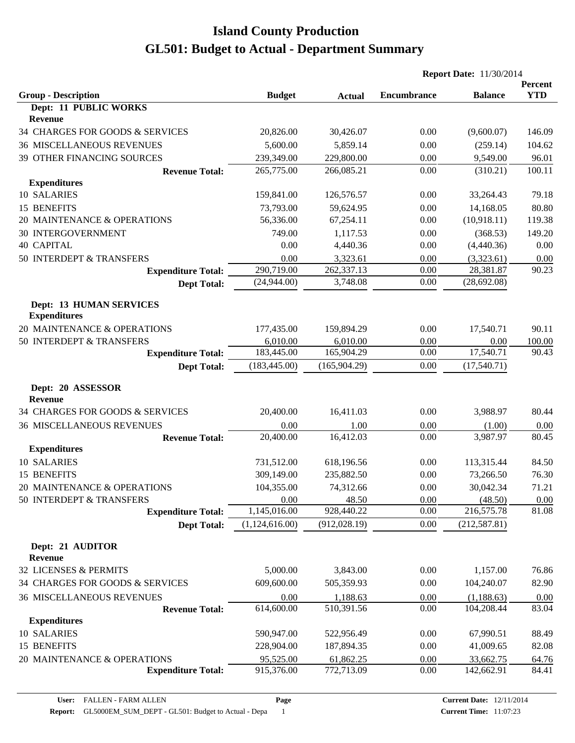|                                                |                |               | <b>Report Date: 11/30/2014</b> |                |                       |  |
|------------------------------------------------|----------------|---------------|--------------------------------|----------------|-----------------------|--|
| <b>Group - Description</b>                     | <b>Budget</b>  | <b>Actual</b> | <b>Encumbrance</b>             | <b>Balance</b> | Percent<br><b>YTD</b> |  |
| <b>Dept: 11 PUBLIC WORKS</b><br><b>Revenue</b> |                |               |                                |                |                       |  |
| 34 CHARGES FOR GOODS & SERVICES                | 20,826.00      | 30,426.07     | 0.00                           | (9,600.07)     | 146.09                |  |
| <b>36 MISCELLANEOUS REVENUES</b>               | 5,600.00       | 5,859.14      | 0.00                           | (259.14)       | 104.62                |  |
| 39 OTHER FINANCING SOURCES                     | 239,349.00     | 229,800.00    | 0.00                           | 9,549.00       | 96.01                 |  |
| <b>Revenue Total:</b>                          | 265,775.00     | 266,085.21    | 0.00                           | (310.21)       | 100.11                |  |
| <b>Expenditures</b>                            |                |               |                                |                |                       |  |
| 10 SALARIES                                    | 159,841.00     | 126,576.57    | 0.00                           | 33,264.43      | 79.18                 |  |
| 15 BENEFITS                                    | 73,793.00      | 59,624.95     | 0.00                           | 14,168.05      | 80.80                 |  |
| 20 MAINTENANCE & OPERATIONS                    | 56,336.00      | 67,254.11     | 0.00                           | (10,918.11)    | 119.38                |  |
| <b>30 INTERGOVERNMENT</b>                      | 749.00         | 1,117.53      | 0.00                           | (368.53)       | 149.20                |  |
| <b>40 CAPITAL</b>                              | 0.00           | 4,440.36      | 0.00                           | (4,440.36)     | 0.00                  |  |
| 50 INTERDEPT & TRANSFERS                       | 0.00           | 3,323.61      | 0.00                           | (3,323.61)     | 0.00                  |  |
| <b>Expenditure Total:</b>                      | 290,719.00     | 262,337.13    | 0.00                           | 28,381.87      | 90.23                 |  |
| <b>Dept Total:</b>                             | (24,944.00)    | 3,748.08      | 0.00                           | (28, 692.08)   |                       |  |
| Dept: 13 HUMAN SERVICES<br><b>Expenditures</b> |                |               |                                |                |                       |  |
| 20 MAINTENANCE & OPERATIONS                    | 177,435.00     | 159,894.29    | 0.00                           | 17,540.71      | 90.11                 |  |
| 50 INTERDEPT & TRANSFERS                       | 6,010.00       | 6,010.00      | 0.00                           | 0.00           | 100.00                |  |
| <b>Expenditure Total:</b>                      | 183,445.00     | 165,904.29    | 0.00                           | 17,540.71      | 90.43                 |  |
| <b>Dept Total:</b>                             | (183, 445.00)  | (165, 904.29) | 0.00                           | (17,540.71)    |                       |  |
| Dept: 20 ASSESSOR<br><b>Revenue</b>            |                |               |                                |                |                       |  |
| 34 CHARGES FOR GOODS & SERVICES                | 20,400.00      | 16,411.03     | 0.00                           | 3,988.97       | 80.44                 |  |
| <b>36 MISCELLANEOUS REVENUES</b>               | 0.00           | 1.00          | 0.00                           | (1.00)         | 0.00                  |  |
| <b>Revenue Total:</b>                          | 20,400.00      | 16,412.03     | 0.00                           | 3,987.97       | 80.45                 |  |
| <b>Expenditures</b>                            |                |               |                                |                |                       |  |
| 10 SALARIES                                    | 731,512.00     | 618,196.56    | 0.00                           | 113,315.44     | 84.50                 |  |
| 15 BENEFITS                                    | 309,149.00     | 235,882.50    | 0.00                           | 73,266.50      | 76.30                 |  |
| 20 MAINTENANCE & OPERATIONS                    | 104,355.00     | 74,312.66     | 0.00                           | 30,042.34      | 71.21                 |  |
| 50 INTERDEPT & TRANSFERS                       | 0.00           | 48.50         | 0.00                           | (48.50)        | 0.00                  |  |
| <b>Expenditure Total:</b>                      | 1,145,016.00   | 928,440.22    | 0.00                           | 216,575.78     | 81.08                 |  |
| <b>Dept Total:</b>                             | (1,124,616.00) | (912, 028.19) | 0.00                           | (212, 587.81)  |                       |  |
| Dept: 21 AUDITOR<br><b>Revenue</b>             |                |               |                                |                |                       |  |
| 32 LICENSES & PERMITS                          | 5,000.00       | 3,843.00      | 0.00                           | 1,157.00       | 76.86                 |  |
| 34 CHARGES FOR GOODS & SERVICES                | 609,600.00     | 505,359.93    | 0.00                           | 104,240.07     | 82.90                 |  |
| <b>36 MISCELLANEOUS REVENUES</b>               | 0.00           | 1,188.63      | 0.00                           | (1, 188.63)    | 0.00                  |  |
| <b>Revenue Total:</b>                          | 614,600.00     | 510,391.56    | 0.00                           | 104,208.44     | 83.04                 |  |
| <b>Expenditures</b>                            |                |               |                                |                |                       |  |
| 10 SALARIES                                    | 590,947.00     | 522,956.49    | 0.00                           | 67,990.51      | 88.49                 |  |
| 15 BENEFITS                                    | 228,904.00     | 187,894.35    | 0.00                           | 41,009.65      | 82.08                 |  |
| 20 MAINTENANCE & OPERATIONS                    | 95,525.00      | 61,862.25     | 0.00                           | 33,662.75      | 64.76                 |  |
| <b>Expenditure Total:</b>                      | 915,376.00     | 772,713.09    | 0.00                           | 142,662.91     | 84.41                 |  |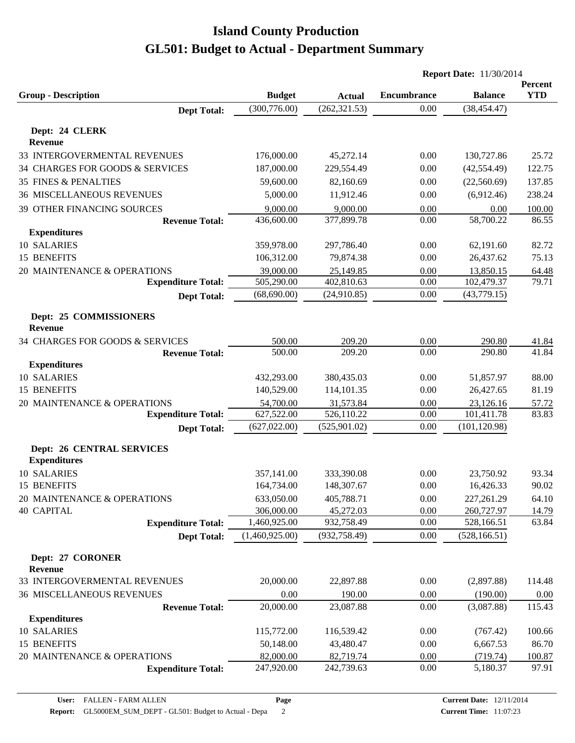|                                                         |                |                          | <b>Report Date: 11/30/2014</b> |                        |                |  |
|---------------------------------------------------------|----------------|--------------------------|--------------------------------|------------------------|----------------|--|
|                                                         |                |                          |                                |                        | Percent        |  |
| <b>Group - Description</b>                              | <b>Budget</b>  | <b>Actual</b>            | <b>Encumbrance</b>             | <b>Balance</b>         | <b>YTD</b>     |  |
| <b>Dept Total:</b>                                      | (300, 776.00)  | (262, 321.53)            | 0.00                           | (38, 454.47)           |                |  |
| Dept: 24 CLERK                                          |                |                          |                                |                        |                |  |
| <b>Revenue</b>                                          |                |                          |                                |                        |                |  |
| 33 INTERGOVERMENTAL REVENUES                            | 176,000.00     | 45,272.14                | 0.00                           | 130,727.86             | 25.72          |  |
| 34 CHARGES FOR GOODS & SERVICES                         | 187,000.00     | 229,554.49               | 0.00                           | (42, 554.49)           | 122.75         |  |
| <b>35 FINES &amp; PENALTIES</b>                         | 59,600.00      | 82,160.69                | 0.00                           | (22,560.69)            | 137.85         |  |
| <b>36 MISCELLANEOUS REVENUES</b>                        | 5,000.00       | 11,912.46                | 0.00                           | (6,912.46)             | 238.24         |  |
| 39 OTHER FINANCING SOURCES                              | 9,000.00       | 9,000.00                 | 0.00                           | 0.00                   | 100.00         |  |
| <b>Revenue Total:</b>                                   | 436,600.00     | 377,899.78               | 0.00                           | 58,700.22              | 86.55          |  |
| <b>Expenditures</b>                                     |                |                          |                                |                        |                |  |
| 10 SALARIES                                             | 359,978.00     | 297,786.40               | 0.00                           | 62,191.60              | 82.72          |  |
| 15 BENEFITS                                             | 106,312.00     | 79,874.38                | 0.00                           | 26,437.62              | 75.13          |  |
| 20 MAINTENANCE & OPERATIONS                             | 39,000.00      | 25,149.85                | 0.00                           | 13,850.15              | 64.48          |  |
| <b>Expenditure Total:</b>                               | 505,290.00     | 402,810.63               | 0.00                           | 102,479.37             | 79.71          |  |
| <b>Dept Total:</b>                                      | (68,690.00)    | (24,910.85)              | 0.00                           | (43,779.15)            |                |  |
| Dept: 25 COMMISSIONERS                                  |                |                          |                                |                        |                |  |
| <b>Revenue</b>                                          |                |                          |                                |                        |                |  |
| 34 CHARGES FOR GOODS & SERVICES                         | 500.00         | 209.20                   | 0.00                           | 290.80                 | 41.84          |  |
| <b>Revenue Total:</b>                                   | 500.00         | 209.20                   | 0.00                           | 290.80                 | 41.84          |  |
| <b>Expenditures</b>                                     |                |                          |                                |                        |                |  |
| 10 SALARIES                                             | 432,293.00     | 380,435.03               | 0.00                           | 51,857.97              | 88.00          |  |
| 15 BENEFITS                                             | 140,529.00     | 114,101.35               | 0.00                           | 26,427.65              | 81.19          |  |
| 20 MAINTENANCE & OPERATIONS                             | 54,700.00      | 31,573.84                | 0.00                           | 23,126.16              | 57.72          |  |
| <b>Expenditure Total:</b>                               | 627,522.00     | 526,110.22               | 0.00                           | 101,411.78             | 83.83          |  |
| <b>Dept Total:</b>                                      | (627, 022.00)  | (525,901.02)             | 0.00                           | (101, 120.98)          |                |  |
|                                                         |                |                          |                                |                        |                |  |
| <b>Dept: 26 CENTRAL SERVICES</b><br><b>Expenditures</b> |                |                          |                                |                        |                |  |
| 10 SALARIES                                             | 357,141.00     |                          | 0.00                           |                        |                |  |
| 15 BENEFITS                                             | 164,734.00     | 333,390.08<br>148,307.67 | 0.00                           | 23,750.92<br>16,426.33 | 93.34<br>90.02 |  |
| 20 MAINTENANCE & OPERATIONS                             | 633,050.00     | 405,788.71               | 0.00                           | 227,261.29             | 64.10          |  |
| <b>40 CAPITAL</b>                                       | 306,000.00     | 45,272.03                | 0.00                           | 260,727.97             | 14.79          |  |
| <b>Expenditure Total:</b>                               | 1,460,925.00   | 932,758.49               | 0.00                           | 528,166.51             | 63.84          |  |
| <b>Dept Total:</b>                                      | (1,460,925.00) | (932, 758.49)            | 0.00                           | (528, 166.51)          |                |  |
|                                                         |                |                          |                                |                        |                |  |
| Dept: 27 CORONER                                        |                |                          |                                |                        |                |  |
| Revenue                                                 |                |                          |                                |                        |                |  |
| 33 INTERGOVERMENTAL REVENUES                            | 20,000.00      | 22,897.88                | $0.00\,$                       | (2,897.88)             | 114.48         |  |
| <b>36 MISCELLANEOUS REVENUES</b>                        | 0.00           | 190.00                   | 0.00                           | (190.00)               | 0.00           |  |
| <b>Revenue Total:</b>                                   | 20,000.00      | 23,087.88                | 0.00                           | (3,087.88)             | 115.43         |  |
| <b>Expenditures</b>                                     |                |                          |                                |                        |                |  |
| 10 SALARIES                                             | 115,772.00     | 116,539.42               | 0.00                           | (767.42)               | 100.66         |  |
| 15 BENEFITS                                             | 50,148.00      | 43,480.47                | 0.00                           | 6,667.53               | 86.70          |  |
| 20 MAINTENANCE & OPERATIONS                             | 82,000.00      | 82,719.74                | 0.00                           | (719.74)               | 100.87         |  |
| <b>Expenditure Total:</b>                               | 247,920.00     | 242,739.63               | 0.00                           | 5,180.37               | 97.91          |  |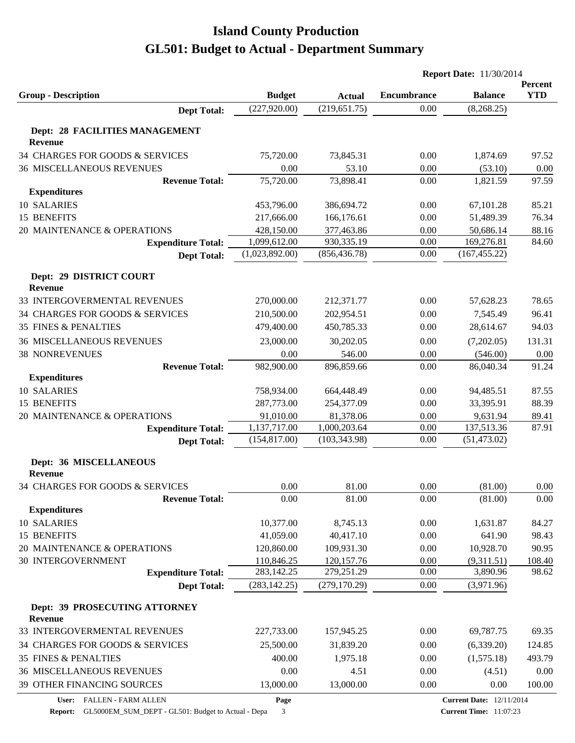|                                          |                                |                                | <b>Report Date: 11/30/2014</b> |                |                       |  |
|------------------------------------------|--------------------------------|--------------------------------|--------------------------------|----------------|-----------------------|--|
|                                          |                                |                                | <b>Encumbrance</b>             | <b>Balance</b> | Percent<br><b>YTD</b> |  |
| <b>Group - Description</b>               | <b>Budget</b><br>(227, 920.00) | <b>Actual</b><br>(219, 651.75) | 0.00                           | (8,268.25)     |                       |  |
| <b>Dept Total:</b>                       |                                |                                |                                |                |                       |  |
| Dept: 28 FACILITIES MANAGEMENT           |                                |                                |                                |                |                       |  |
| <b>Revenue</b>                           |                                |                                |                                |                |                       |  |
| 34 CHARGES FOR GOODS & SERVICES          | 75,720.00                      | 73,845.31                      | 0.00                           | 1,874.69       | 97.52                 |  |
| <b>36 MISCELLANEOUS REVENUES</b>         | 0.00                           | 53.10                          | 0.00                           | (53.10)        | 0.00                  |  |
| <b>Revenue Total:</b>                    | 75,720.00                      | 73,898.41                      | 0.00                           | 1,821.59       | 97.59                 |  |
| <b>Expenditures</b>                      |                                |                                |                                |                |                       |  |
| 10 SALARIES                              | 453,796.00                     | 386,694.72                     | 0.00                           | 67,101.28      | 85.21                 |  |
| 15 BENEFITS                              | 217,666.00                     | 166,176.61                     | 0.00                           | 51,489.39      | 76.34                 |  |
| 20 MAINTENANCE & OPERATIONS              | 428,150.00                     | 377,463.86                     | 0.00                           | 50,686.14      | 88.16                 |  |
| <b>Expenditure Total:</b>                | 1,099,612.00                   | 930,335.19                     | 0.00                           | 169,276.81     | 84.60                 |  |
| <b>Dept Total:</b>                       | (1,023,892.00)                 | (856, 436.78)                  | 0.00                           | (167, 455.22)  |                       |  |
|                                          |                                |                                |                                |                |                       |  |
| Dept: 29 DISTRICT COURT                  |                                |                                |                                |                |                       |  |
| <b>Revenue</b>                           |                                |                                |                                |                |                       |  |
| 33 INTERGOVERMENTAL REVENUES             | 270,000.00                     | 212,371.77                     | 0.00                           | 57,628.23      | 78.65                 |  |
| 34 CHARGES FOR GOODS & SERVICES          | 210,500.00                     | 202,954.51                     | 0.00                           | 7,545.49       | 96.41                 |  |
| <b>35 FINES &amp; PENALTIES</b>          | 479,400.00                     | 450,785.33                     | 0.00                           | 28,614.67      | 94.03                 |  |
| <b>36 MISCELLANEOUS REVENUES</b>         | 23,000.00                      | 30,202.05                      | 0.00                           | (7,202.05)     | 131.31                |  |
| <b>38 NONREVENUES</b>                    | 0.00                           | 546.00                         | 0.00                           | (546.00)       | 0.00                  |  |
| <b>Revenue Total:</b>                    | 982,900.00                     | 896,859.66                     | 0.00                           | 86,040.34      | 91.24                 |  |
| <b>Expenditures</b>                      |                                |                                |                                |                |                       |  |
| 10 SALARIES                              | 758,934.00                     | 664,448.49                     | 0.00                           | 94,485.51      | 87.55                 |  |
| 15 BENEFITS                              | 287,773.00                     | 254,377.09                     | 0.00                           | 33,395.91      | 88.39                 |  |
| 20 MAINTENANCE & OPERATIONS              | 91,010.00                      | 81,378.06                      | 0.00                           | 9,631.94       | 89.41                 |  |
| <b>Expenditure Total:</b>                | 1,137,717.00                   | 1,000,203.64                   | 0.00                           | 137,513.36     | 87.91                 |  |
| <b>Dept Total:</b>                       | (154, 817.00)                  | (103, 343.98)                  | 0.00                           | (51, 473.02)   |                       |  |
| Dept: 36 MISCELLANEOUS                   |                                |                                |                                |                |                       |  |
| <b>Revenue</b>                           |                                |                                |                                |                |                       |  |
| 34 CHARGES FOR GOODS & SERVICES          | 0.00                           | 81.00                          | 0.00                           | (81.00)        | 0.00                  |  |
| <b>Revenue Total:</b>                    | 0.00                           | 81.00                          | 0.00                           | (81.00)        | 0.00                  |  |
| <b>Expenditures</b>                      |                                |                                |                                |                |                       |  |
| 10 SALARIES                              | 10,377.00                      | 8,745.13                       | 0.00                           | 1,631.87       | 84.27                 |  |
| 15 BENEFITS                              | 41,059.00                      | 40,417.10                      | 0.00                           | 641.90         | 98.43                 |  |
| 20 MAINTENANCE & OPERATIONS              | 120,860.00                     | 109,931.30                     | 0.00                           | 10,928.70      | 90.95                 |  |
| <b>30 INTERGOVERNMENT</b>                | 110,846.25                     | 120, 157. 76                   | 0.00                           | (9,311.51)     | 108.40                |  |
| <b>Expenditure Total:</b>                | 283,142.25                     | 279,251.29                     | 0.00                           | 3,890.96       | 98.62                 |  |
| <b>Dept Total:</b>                       | (283, 142.25)                  | (279, 170.29)                  | 0.00                           | (3,971.96)     |                       |  |
|                                          |                                |                                |                                |                |                       |  |
| Dept: 39 PROSECUTING ATTORNEY<br>Revenue |                                |                                |                                |                |                       |  |
| 33 INTERGOVERMENTAL REVENUES             | 227,733.00                     | 157,945.25                     | 0.00                           | 69,787.75      | 69.35                 |  |
| 34 CHARGES FOR GOODS & SERVICES          | 25,500.00                      | 31,839.20                      | 0.00                           | (6,339.20)     | 124.85                |  |
| <b>35 FINES &amp; PENALTIES</b>          | 400.00                         | 1,975.18                       | 0.00                           | (1,575.18)     | 493.79                |  |
| <b>36 MISCELLANEOUS REVENUES</b>         | 0.00                           | 4.51                           | 0.00                           | (4.51)         | $0.00\,$              |  |
| 39 OTHER FINANCING SOURCES               | 13,000.00                      | 13,000.00                      | 0.00                           | 0.00           | 100.00                |  |
|                                          |                                |                                |                                |                |                       |  |

**Page**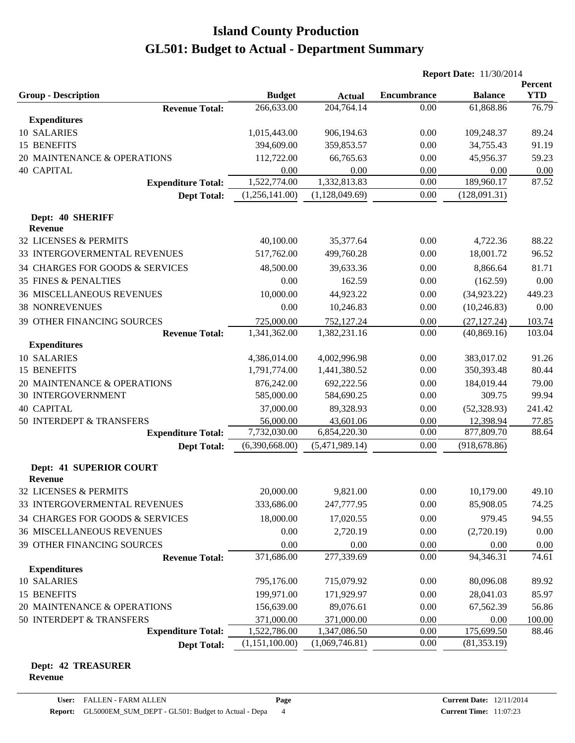|                                         |                |                             | <b>Report Date: 11/30/2014</b> |                |                              |
|-----------------------------------------|----------------|-----------------------------|--------------------------------|----------------|------------------------------|
| <b>Group - Description</b>              | <b>Budget</b>  |                             | <b>Encumbrance</b>             | <b>Balance</b> | <b>Percent</b><br><b>YTD</b> |
| <b>Revenue Total:</b>                   | 266,633.00     | <b>Actual</b><br>204,764.14 | 0.00                           | 61,868.86      | 76.79                        |
| <b>Expenditures</b>                     |                |                             |                                |                |                              |
| 10 SALARIES                             | 1,015,443.00   | 906,194.63                  | 0.00                           | 109,248.37     | 89.24                        |
| 15 BENEFITS                             | 394,609.00     | 359,853.57                  | 0.00                           | 34,755.43      | 91.19                        |
| 20 MAINTENANCE & OPERATIONS             | 112,722.00     | 66,765.63                   | 0.00                           | 45,956.37      | 59.23                        |
| <b>40 CAPITAL</b>                       | 0.00           | 0.00                        | 0.00                           | 0.00           | 0.00                         |
| <b>Expenditure Total:</b>               | 1,522,774.00   | 1,332,813.83                | 0.00                           | 189,960.17     | 87.52                        |
| <b>Dept Total:</b>                      | (1,256,141.00) | (1,128,049.69)              | 0.00                           | (128,091.31)   |                              |
| Dept: 40 SHERIFF                        |                |                             |                                |                |                              |
| <b>Revenue</b>                          |                |                             |                                |                |                              |
| 32 LICENSES & PERMITS                   | 40,100.00      | 35,377.64                   | 0.00                           | 4,722.36       | 88.22                        |
| 33 INTERGOVERMENTAL REVENUES            | 517,762.00     | 499,760.28                  | 0.00                           | 18,001.72      | 96.52                        |
| 34 CHARGES FOR GOODS & SERVICES         | 48,500.00      | 39,633.36                   | 0.00                           | 8,866.64       | 81.71                        |
| <b>35 FINES &amp; PENALTIES</b>         | 0.00           | 162.59                      | 0.00                           | (162.59)       | 0.00                         |
| <b>36 MISCELLANEOUS REVENUES</b>        | 10,000.00      | 44,923.22                   | 0.00                           | (34,923.22)    | 449.23                       |
| <b>38 NONREVENUES</b>                   | 0.00           | 10,246.83                   | 0.00                           | (10, 246.83)   | 0.00                         |
| <b>39 OTHER FINANCING SOURCES</b>       | 725,000.00     | 752,127.24                  | 0.00                           | (27, 127.24)   | 103.74                       |
| <b>Revenue Total:</b>                   | 1,341,362.00   | 1,382,231.16                | 0.00                           | (40, 869.16)   | 103.04                       |
| <b>Expenditures</b>                     |                |                             |                                |                |                              |
| 10 SALARIES                             | 4,386,014.00   | 4,002,996.98                | 0.00                           | 383,017.02     | 91.26                        |
| 15 BENEFITS                             | 1,791,774.00   | 1,441,380.52                | 0.00                           | 350,393.48     | 80.44                        |
| 20 MAINTENANCE & OPERATIONS             | 876,242.00     | 692,222.56                  | 0.00                           | 184,019.44     | 79.00                        |
| <b>30 INTERGOVERNMENT</b>               | 585,000.00     | 584,690.25                  | 0.00                           | 309.75         | 99.94                        |
| <b>40 CAPITAL</b>                       | 37,000.00      | 89,328.93                   | 0.00                           | (52, 328.93)   | 241.42                       |
| 50 INTERDEPT & TRANSFERS                | 56,000.00      | 43,601.06                   | 0.00                           | 12,398.94      | 77.85                        |
| <b>Expenditure Total:</b>               | 7,732,030.00   | 6,854,220.30                | 0.00                           | 877,809.70     | 88.64                        |
| <b>Dept Total:</b>                      | (6,390,668.00) | (5,471,989.14)              | 0.00                           | (918, 678.86)  |                              |
| Dept: 41 SUPERIOR COURT                 |                |                             |                                |                |                              |
| <b>Revenue</b><br>32 LICENSES & PERMITS | 20,000.00      | 9,821.00                    | 0.00                           | 10,179.00      | 49.10                        |
| 33 INTERGOVERMENTAL REVENUES            | 333,686.00     | 247,777.95                  | 0.00                           | 85,908.05      | 74.25                        |
| 34 CHARGES FOR GOODS & SERVICES         | 18,000.00      | 17,020.55                   | 0.00                           | 979.45         | 94.55                        |
| <b>36 MISCELLANEOUS REVENUES</b>        | 0.00           | 2,720.19                    | 0.00                           | (2,720.19)     | 0.00                         |
| 39 OTHER FINANCING SOURCES              | 0.00           | 0.00                        | 0.00                           | 0.00           | 0.00                         |
| <b>Revenue Total:</b>                   | 371,686.00     | 277,339.69                  | 0.00                           | 94,346.31      | 74.61                        |
| <b>Expenditures</b>                     |                |                             |                                |                |                              |
| 10 SALARIES                             | 795,176.00     | 715,079.92                  | 0.00                           | 80,096.08      | 89.92                        |
| 15 BENEFITS                             | 199,971.00     | 171,929.97                  | 0.00                           | 28,041.03      | 85.97                        |
| 20 MAINTENANCE & OPERATIONS             | 156,639.00     | 89,076.61                   | 0.00                           | 67,562.39      | 56.86                        |
| 50 INTERDEPT & TRANSFERS                | 371,000.00     | 371,000.00                  | 0.00                           | 0.00           | 100.00                       |
| <b>Expenditure Total:</b>               | 1,522,786.00   | 1,347,086.50                | 0.00                           | 175,699.50     | 88.46                        |
| <b>Dept Total:</b>                      | (1,151,100.00) | (1,069,746.81)              | 0.00                           | (81, 353.19)   |                              |

#### **Dept: 42 TREASURER Revenue**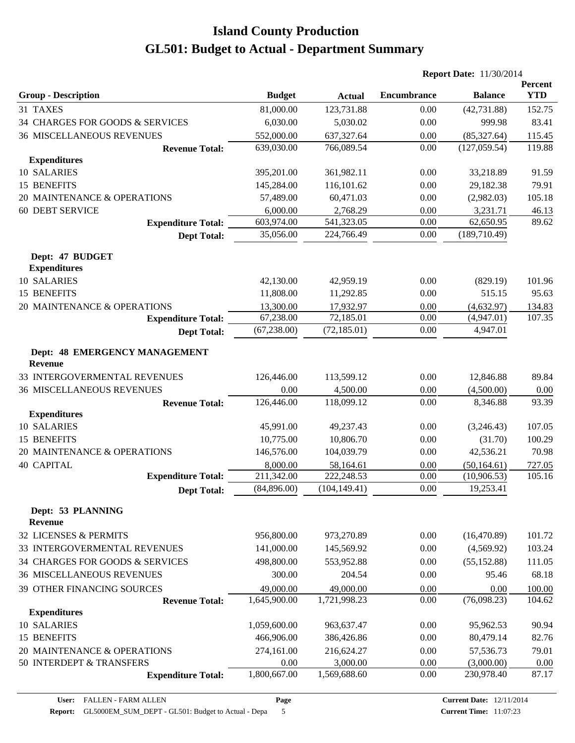|                                                 |               |               | <b>Report Date: 11/30/2014</b> |                |                       |  |
|-------------------------------------------------|---------------|---------------|--------------------------------|----------------|-----------------------|--|
| <b>Group - Description</b>                      | <b>Budget</b> | <b>Actual</b> | <b>Encumbrance</b>             | <b>Balance</b> | Percent<br><b>YTD</b> |  |
| 31 TAXES                                        | 81,000.00     | 123,731.88    | 0.00                           | (42, 731.88)   | 152.75                |  |
| 34 CHARGES FOR GOODS & SERVICES                 | 6,030.00      | 5,030.02      | 0.00                           | 999.98         | 83.41                 |  |
| <b>36 MISCELLANEOUS REVENUES</b>                | 552,000.00    | 637, 327. 64  | 0.00                           | (85, 327.64)   | 115.45                |  |
| <b>Revenue Total:</b>                           | 639,030.00    | 766,089.54    | 0.00                           | (127, 059.54)  | 119.88                |  |
| <b>Expenditures</b>                             |               |               |                                |                |                       |  |
| 10 SALARIES                                     | 395,201.00    | 361,982.11    | 0.00                           | 33,218.89      | 91.59                 |  |
| 15 BENEFITS                                     | 145,284.00    | 116,101.62    | 0.00                           | 29,182.38      | 79.91                 |  |
| 20 MAINTENANCE & OPERATIONS                     | 57,489.00     | 60,471.03     | 0.00                           | (2,982.03)     | 105.18                |  |
| <b>60 DEBT SERVICE</b>                          | 6,000.00      | 2,768.29      | 0.00                           | 3,231.71       | 46.13                 |  |
| <b>Expenditure Total:</b>                       | 603,974.00    | 541,323.05    | 0.00                           | 62,650.95      | 89.62                 |  |
| <b>Dept Total:</b>                              | 35,056.00     | 224,766.49    | 0.00                           | (189,710.49)   |                       |  |
| Dept: 47 BUDGET<br><b>Expenditures</b>          |               |               |                                |                |                       |  |
| <b>10 SALARIES</b>                              | 42,130.00     | 42,959.19     | 0.00                           | (829.19)       | 101.96                |  |
| 15 BENEFITS                                     | 11,808.00     | 11,292.85     | 0.00                           | 515.15         | 95.63                 |  |
| 20 MAINTENANCE & OPERATIONS                     | 13,300.00     | 17,932.97     | 0.00                           | (4,632.97)     | 134.83                |  |
| <b>Expenditure Total:</b>                       | 67,238.00     | 72,185.01     | 0.00                           | (4,947.01)     | 107.35                |  |
| <b>Dept Total:</b>                              | (67, 238.00)  | (72, 185.01)  | 0.00                           | 4,947.01       |                       |  |
| Dept: 48 EMERGENCY MANAGEMENT<br><b>Revenue</b> |               |               |                                |                |                       |  |
| 33 INTERGOVERMENTAL REVENUES                    | 126,446.00    | 113,599.12    | 0.00                           | 12,846.88      | 89.84                 |  |
| <b>36 MISCELLANEOUS REVENUES</b>                | 0.00          | 4,500.00      | 0.00                           | (4,500.00)     | 0.00                  |  |
| <b>Revenue Total:</b>                           | 126,446.00    | 118,099.12    | 0.00                           | 8,346.88       | 93.39                 |  |
| <b>Expenditures</b>                             |               |               |                                |                |                       |  |
| 10 SALARIES                                     | 45,991.00     | 49,237.43     | 0.00                           | (3,246.43)     | 107.05                |  |
| 15 BENEFITS                                     | 10,775.00     | 10,806.70     | 0.00                           | (31.70)        | 100.29                |  |
| 20 MAINTENANCE & OPERATIONS                     | 146,576.00    | 104,039.79    | 0.00                           | 42,536.21      | 70.98                 |  |
| <b>40 CAPITAL</b>                               | 8,000.00      | 58,164.61     | 0.00                           | (50, 164.61)   | 727.05                |  |
| <b>Expenditure Total:</b>                       | 211,342.00    | 222,248.53    | 0.00                           | (10,906.53)    | 105.16                |  |
| <b>Dept Total:</b>                              | (84,896.00)   | (104, 149.41) | 0.00                           | 19,253.41      |                       |  |
| Dept: 53 PLANNING<br><b>Revenue</b>             |               |               |                                |                |                       |  |
| 32 LICENSES & PERMITS                           | 956,800.00    | 973,270.89    | 0.00                           | (16, 470.89)   | 101.72                |  |
| 33 INTERGOVERMENTAL REVENUES                    | 141,000.00    | 145,569.92    | 0.00                           | (4,569.92)     | 103.24                |  |
| 34 CHARGES FOR GOODS & SERVICES                 | 498,800.00    | 553,952.88    | 0.00                           | (55, 152.88)   | 111.05                |  |
| <b>36 MISCELLANEOUS REVENUES</b>                | 300.00        | 204.54        | 0.00                           | 95.46          | 68.18                 |  |
| 39 OTHER FINANCING SOURCES                      | 49,000.00     | 49,000.00     | 0.00                           | 0.00           | 100.00                |  |
| <b>Revenue Total:</b>                           | 1,645,900.00  | 1,721,998.23  | 0.00                           | (76,098.23)    | 104.62                |  |
| <b>Expenditures</b>                             |               |               |                                |                |                       |  |
| 10 SALARIES                                     | 1,059,600.00  | 963,637.47    | 0.00                           | 95,962.53      | 90.94                 |  |
| 15 BENEFITS                                     | 466,906.00    | 386,426.86    | 0.00                           | 80,479.14      | 82.76                 |  |
| 20 MAINTENANCE & OPERATIONS                     | 274,161.00    | 216,624.27    | 0.00                           | 57,536.73      | 79.01                 |  |
| 50 INTERDEPT & TRANSFERS                        | 0.00          | 3,000.00      | 0.00                           | (3,000.00)     | 0.00                  |  |
| <b>Expenditure Total:</b>                       | 1,800,667.00  | 1,569,688.60  | 0.00                           | 230,978.40     | 87.17                 |  |

**Page**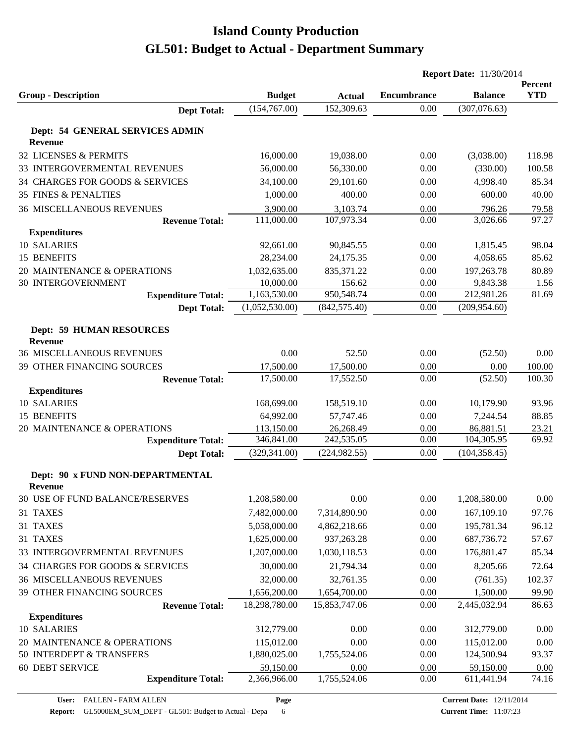|                                  |                |               |                    | <b>Report Date: 11/30/2014</b> |                       |
|----------------------------------|----------------|---------------|--------------------|--------------------------------|-----------------------|
| <b>Group - Description</b>       | <b>Budget</b>  | <b>Actual</b> | <b>Encumbrance</b> | <b>Balance</b>                 | Percent<br><b>YTD</b> |
| <b>Dept Total:</b>               | (154, 767.00)  | 152,309.63    | 0.00               | (307,076.63)                   |                       |
|                                  |                |               |                    |                                |                       |
| Dept: 54 GENERAL SERVICES ADMIN  |                |               |                    |                                |                       |
| <b>Revenue</b>                   |                |               |                    |                                |                       |
| 32 LICENSES & PERMITS            | 16,000.00      | 19,038.00     | 0.00               | (3,038.00)                     | 118.98                |
| 33 INTERGOVERMENTAL REVENUES     | 56,000.00      | 56,330.00     | 0.00               | (330.00)                       | 100.58                |
| 34 CHARGES FOR GOODS & SERVICES  | 34,100.00      | 29,101.60     | 0.00               | 4,998.40                       | 85.34                 |
| <b>35 FINES &amp; PENALTIES</b>  | 1,000.00       | 400.00        | 0.00               | 600.00                         | 40.00                 |
| <b>36 MISCELLANEOUS REVENUES</b> | 3,900.00       | 3,103.74      | 0.00               | 796.26                         | 79.58                 |
| <b>Revenue Total:</b>            | 111,000.00     | 107,973.34    | 0.00               | 3,026.66                       | 97.27                 |
| <b>Expenditures</b>              |                |               |                    |                                |                       |
| 10 SALARIES                      | 92,661.00      | 90,845.55     | 0.00               | 1,815.45                       | 98.04                 |
| 15 BENEFITS                      | 28,234.00      | 24,175.35     | 0.00               | 4,058.65                       | 85.62                 |
| 20 MAINTENANCE & OPERATIONS      | 1,032,635.00   | 835, 371. 22  | 0.00               | 197,263.78                     | 80.89                 |
| <b>30 INTERGOVERNMENT</b>        | 10,000.00      | 156.62        | 0.00               | 9,843.38                       | 1.56                  |
| <b>Expenditure Total:</b>        | 1,163,530.00   | 950,548.74    | 0.00               | 212,981.26                     | 81.69                 |
| <b>Dept Total:</b>               | (1,052,530.00) | (842, 575.40) | 0.00               | (209, 954.60)                  |                       |
| <b>Dept: 59 HUMAN RESOURCES</b>  |                |               |                    |                                |                       |
| <b>Revenue</b>                   |                |               |                    |                                |                       |
| <b>36 MISCELLANEOUS REVENUES</b> | 0.00           | 52.50         | 0.00               | (52.50)                        | $0.00\,$              |
| 39 OTHER FINANCING SOURCES       | 17,500.00      | 17,500.00     | 0.00               | 0.00                           | 100.00                |
| <b>Revenue Total:</b>            | 17,500.00      | 17,552.50     | 0.00               | (52.50)                        | 100.30                |
| <b>Expenditures</b>              |                |               |                    |                                |                       |
| 10 SALARIES                      | 168,699.00     | 158,519.10    | 0.00               | 10,179.90                      | 93.96                 |
| 15 BENEFITS                      | 64,992.00      | 57,747.46     | 0.00               | 7,244.54                       | 88.85                 |
| 20 MAINTENANCE & OPERATIONS      | 113,150.00     | 26,268.49     | 0.00               | 86,881.51                      | 23.21                 |
| <b>Expenditure Total:</b>        | 346,841.00     | 242,535.05    | 0.00               | 104,305.95                     | 69.92                 |
| <b>Dept Total:</b>               | (329, 341.00)  | (224, 982.55) | 0.00               | (104, 358.45)                  |                       |
| Dept: 90 x FUND NON-DEPARTMENTAL |                |               |                    |                                |                       |
| <b>Revenue</b>                   |                |               |                    |                                |                       |
| 30 USE OF FUND BALANCE/RESERVES  | 1,208,580.00   | 0.00          | 0.00               | 1,208,580.00                   | 0.00                  |
| 31 TAXES                         | 7,482,000.00   | 7,314,890.90  | 0.00               | 167,109.10                     | 97.76                 |
| 31 TAXES                         | 5,058,000.00   | 4,862,218.66  | 0.00               | 195,781.34                     | 96.12                 |
| 31 TAXES                         | 1,625,000.00   | 937,263.28    | 0.00               | 687,736.72                     | 57.67                 |
| 33 INTERGOVERMENTAL REVENUES     | 1,207,000.00   | 1,030,118.53  | 0.00               | 176,881.47                     | 85.34                 |
| 34 CHARGES FOR GOODS & SERVICES  | 30,000.00      | 21,794.34     | 0.00               | 8,205.66                       | 72.64                 |
| <b>36 MISCELLANEOUS REVENUES</b> | 32,000.00      | 32,761.35     | 0.00               | (761.35)                       | 102.37                |
| 39 OTHER FINANCING SOURCES       | 1,656,200.00   | 1,654,700.00  | 0.00               | 1,500.00                       | 99.90                 |
| <b>Revenue Total:</b>            | 18,298,780.00  | 15,853,747.06 | 0.00               | 2,445,032.94                   | 86.63                 |
| <b>Expenditures</b>              |                |               |                    |                                |                       |
| 10 SALARIES                      | 312,779.00     | 0.00          | 0.00               | 312,779.00                     | 0.00                  |
| 20 MAINTENANCE & OPERATIONS      | 115,012.00     | 0.00          | 0.00               | 115,012.00                     | 0.00                  |
| 50 INTERDEPT & TRANSFERS         | 1,880,025.00   | 1,755,524.06  | 0.00               | 124,500.94                     | 93.37                 |
| <b>60 DEBT SERVICE</b>           | 59,150.00      | 0.00          | 0.00               | 59,150.00                      | 0.00                  |
| <b>Expenditure Total:</b>        | 2,366,966.00   | 1,755,524.06  | 0.00               | 611,441.94                     | 74.16                 |
|                                  |                |               |                    |                                |                       |

**Page**